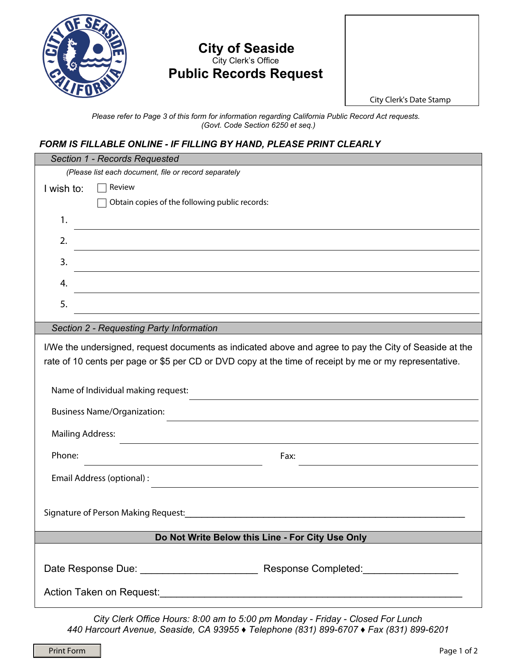

## **City of Seaside**  City Clerk's Office **Public Records Request**



*Please refer to Page 3 of this form for information regarding California Public Record Act requests. (Govt. Code Section 6250 et seq.)* 

## *FORM IS FILLABLE ONLINE - IF FILLING BY HAND, PLEASE PRINT CLEARLY*

| Section 1 - Records Requested                                                                                                                                                                                                                            |
|----------------------------------------------------------------------------------------------------------------------------------------------------------------------------------------------------------------------------------------------------------|
| (Please list each document, file or record separately                                                                                                                                                                                                    |
| Review<br>I wish to:                                                                                                                                                                                                                                     |
| Obtain copies of the following public records:                                                                                                                                                                                                           |
| 1.                                                                                                                                                                                                                                                       |
| 2.                                                                                                                                                                                                                                                       |
| 3.                                                                                                                                                                                                                                                       |
| 4.<br><u> 1980 - Andrea Station Barbara, amerikan personal (h. 1980).</u>                                                                                                                                                                                |
| 5.<br><u> 1989 - Johann Stoff, amerikansk politiker (* 1908)</u>                                                                                                                                                                                         |
| Section 2 - Requesting Party Information                                                                                                                                                                                                                 |
|                                                                                                                                                                                                                                                          |
| I/We the undersigned, request documents as indicated above and agree to pay the City of Seaside at the                                                                                                                                                   |
| rate of 10 cents per page or \$5 per CD or DVD copy at the time of receipt by me or my representative.                                                                                                                                                   |
| Name of Individual making request:                                                                                                                                                                                                                       |
| <b>Business Name/Organization:</b>                                                                                                                                                                                                                       |
| <b>Mailing Address:</b><br>the control of the control of the control of the control of the control of the control of the control of the control of the control of the control of the control of the control of the control of the control of the control |
| Phone:<br>Fax:<br><u> 1989 - Andrea Station Barbara, amerikan personal (h. 1989)</u>                                                                                                                                                                     |
| Email Address (optional) :<br><u> 1989 - Johann Barbara, martin amerikan basal dan berasal dalam basal dalam basal dalam basal dalam basal dala</u>                                                                                                      |
|                                                                                                                                                                                                                                                          |
| Signature of Person Making Request:                                                                                                                                                                                                                      |
|                                                                                                                                                                                                                                                          |
| Do Not Write Below this Line - For City Use Only                                                                                                                                                                                                         |
|                                                                                                                                                                                                                                                          |
|                                                                                                                                                                                                                                                          |
|                                                                                                                                                                                                                                                          |

*City Clerk Office Hours: 8:00 am to 5:00 pm Monday - Friday - Closed For Lunch 440 Harcourt Avenue, Seaside, CA 93955 ♦ Telephone (831) 899-6707 ♦ Fax (831) 899-6201*